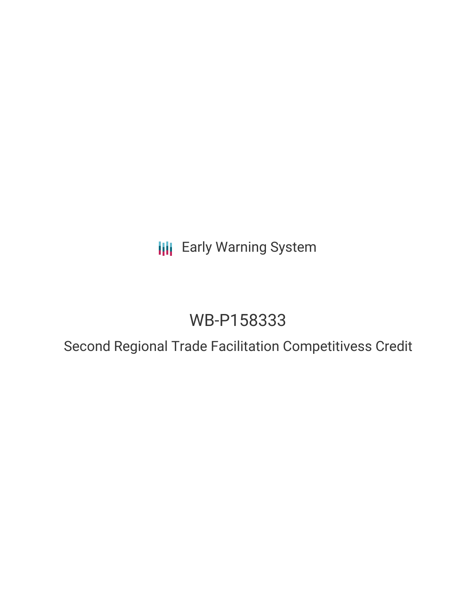## **III** Early Warning System

# WB-P158333

## Second Regional Trade Facilitation Competitivess Credit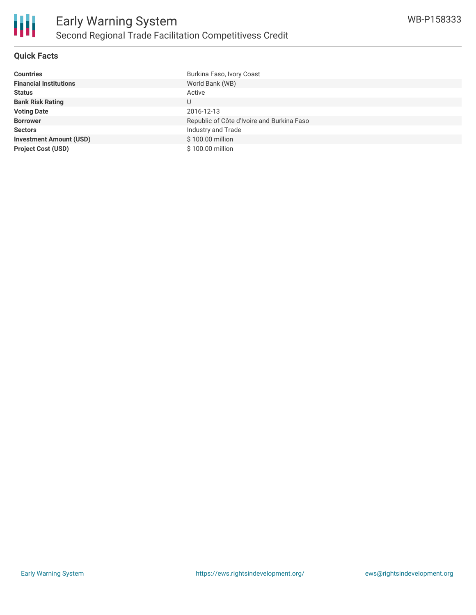

### **Quick Facts**

| <b>Countries</b>               | Burkina Faso, Ivory Coast                  |
|--------------------------------|--------------------------------------------|
| <b>Financial Institutions</b>  | World Bank (WB)                            |
| <b>Status</b>                  | Active                                     |
| <b>Bank Risk Rating</b>        | U                                          |
| <b>Voting Date</b>             | 2016-12-13                                 |
| <b>Borrower</b>                | Republic of Côte d'Ivoire and Burkina Faso |
| <b>Sectors</b>                 | Industry and Trade                         |
| <b>Investment Amount (USD)</b> | \$100.00 million                           |
| <b>Project Cost (USD)</b>      | \$100.00 million                           |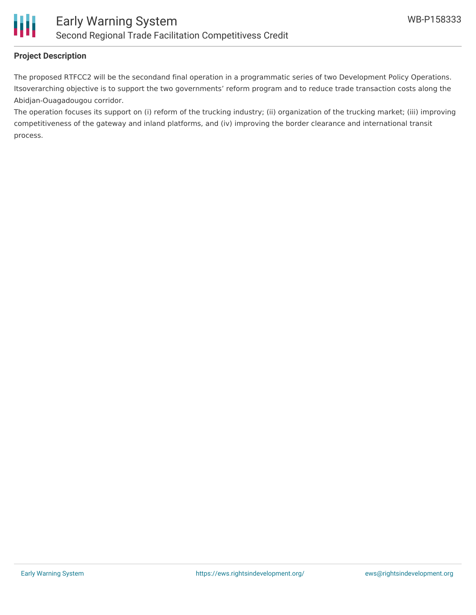

### **Project Description**

The proposed RTFCC2 will be the secondand final operation in a programmatic series of two Development Policy Operations. Itsoverarching objective is to support the two governments' reform program and to reduce trade transaction costs along the Abidjan-Ouagadougou corridor.

The operation focuses its support on (i) reform of the trucking industry; (ii) organization of the trucking market; (iii) improving competitiveness of the gateway and inland platforms, and (iv) improving the border clearance and international transit process.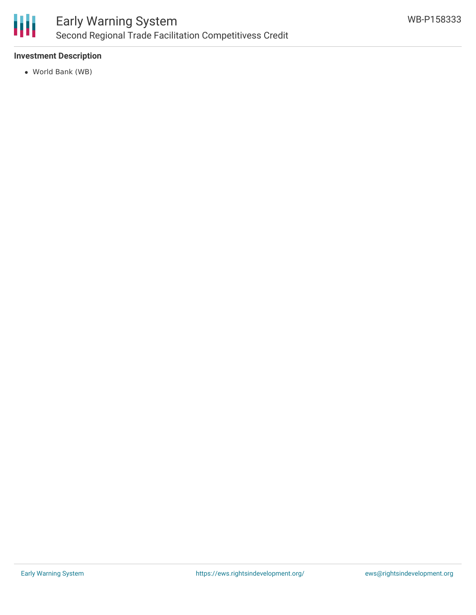

### **Investment Description**

World Bank (WB)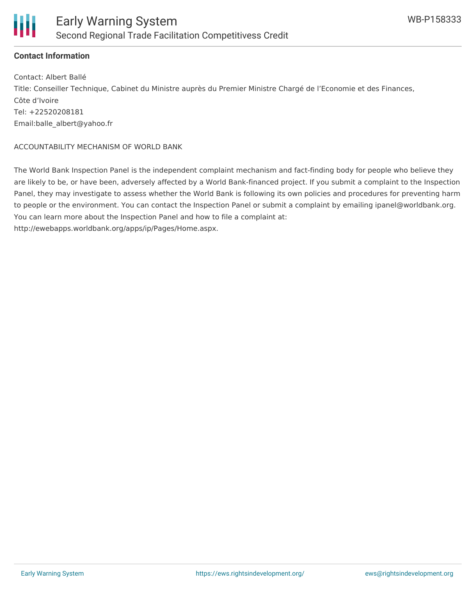

#### **Contact Information**

Contact: Albert Ballé Title: Conseiller Technique, Cabinet du Ministre auprès du Premier Ministre Chargé de l'Economie et des Finances, Côte d'Ivoire Tel: +22520208181 Email:balle\_albert@yahoo.fr

#### ACCOUNTABILITY MECHANISM OF WORLD BANK

The World Bank Inspection Panel is the independent complaint mechanism and fact-finding body for people who believe they are likely to be, or have been, adversely affected by a World Bank-financed project. If you submit a complaint to the Inspection Panel, they may investigate to assess whether the World Bank is following its own policies and procedures for preventing harm to people or the environment. You can contact the Inspection Panel or submit a complaint by emailing ipanel@worldbank.org. You can learn more about the Inspection Panel and how to file a complaint at: http://ewebapps.worldbank.org/apps/ip/Pages/Home.aspx.